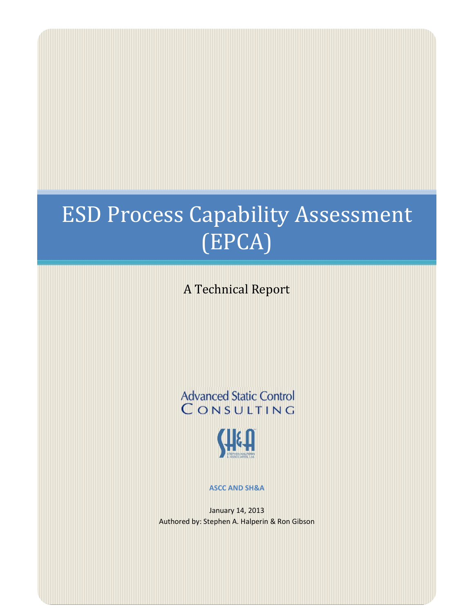# **ESD Process Capability Assessment** (EPCA)

A Technical Report

**Advanced Static Control** CONSULTING



**ASCC AND SH&A**

January 14, 2013 Authored by: Stephen A. Halperin & Ron Gibson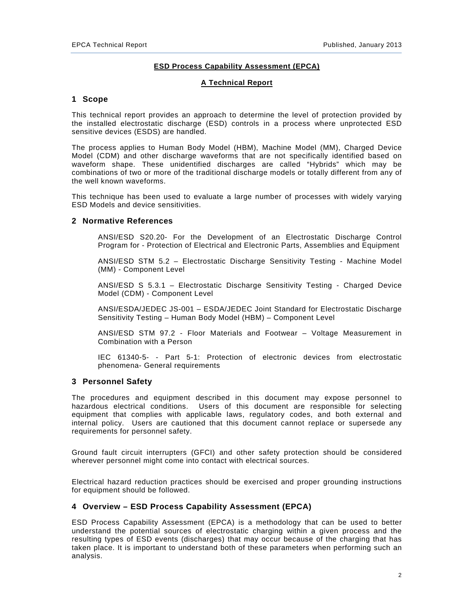## **ESD Process Capability Assessment (EPCA)**

## **A Technical Report**

## **1 Scope**

This technical report provides an approach to determine the level of protection provided by the installed electrostatic discharge (ESD) controls in a process where unprotected ESD sensitive devices (ESDS) are handled.

The process applies to Human Body Model (HBM), Machine Model (MM), Charged Device Model (CDM) and other discharge waveforms that are not specifically identified based on waveform shape. These unidentified discharges are called "Hybrids" which may be combinations of two or more of the traditional discharge models or totally different from any of the well known waveforms.

This technique has been used to evaluate a large number of processes with widely varying ESD Models and device sensitivities.

#### **2 Normative References**

ANSI/ESD S20.20- For the Development of an Electrostatic Discharge Control Program for - Protection of Electrical and Electronic Parts, Assemblies and Equipment

ANSI/ESD STM 5.2 – Electrostatic Discharge Sensitivity Testing - Machine Model (MM) - Component Level

ANSI/ESD S 5.3.1 – Electrostatic Discharge Sensitivity Testing - Charged Device Model (CDM) - Component Level

ANSI/ESDA/JEDEC JS-001 – ESDA/JEDEC Joint Standard for Electrostatic Discharge Sensitivity Testing – Human Body Model (HBM) – Component Level

ANSI/ESD STM 97.2 - Floor Materials and Footwear – Voltage Measurement in Combination with a Person

IEC 61340-5- - Part 5-1: Protection of electronic devices from electrostatic phenomena- General requirements

#### **3 Personnel Safety**

The procedures and equipment described in this document may expose personnel to hazardous electrical conditions. Users of this document are responsible for selecting equipment that complies with applicable laws, regulatory codes, and both external and internal policy. Users are cautioned that this document cannot replace or supersede any requirements for personnel safety.

Ground fault circuit interrupters (GFCI) and other safety protection should be considered wherever personnel might come into contact with electrical sources.

Electrical hazard reduction practices should be exercised and proper grounding instructions for equipment should be followed.

## **4 Overview – ESD Process Capability Assessment (EPCA)**

ESD Process Capability Assessment (EPCA) is a methodology that can be used to better understand the potential sources of electrostatic charging within a given process and the resulting types of ESD events (discharges) that may occur because of the charging that has taken place. It is important to understand both of these parameters when performing such an analysis.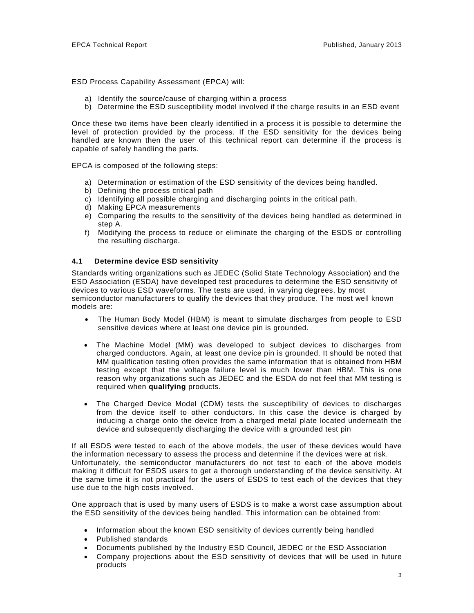ESD Process Capability Assessment (EPCA) will:

- a) Identify the source/cause of charging within a process
- b) Determine the ESD susceptibility model involved if the charge results in an ESD event

Once these two items have been clearly identified in a process it is possible to determine the level of protection provided by the process. If the ESD sensitivity for the devices being handled are known then the user of this technical report can determine if the process is capable of safely handling the parts.

EPCA is composed of the following steps:

- a) Determination or estimation of the ESD sensitivity of the devices being handled.
- b) Defining the process critical path
- c) Identifying all possible charging and discharging points in the critical path.
- d) Making EPCA measurements
- e) Comparing the results to the sensitivity of the devices being handled as determined in step A.
- f) Modifying the process to reduce or eliminate the charging of the ESDS or controlling the resulting discharge.

#### **4.1 Determine device ESD sensitivity**

Standards writing organizations such as JEDEC (Solid State Technology Association) and the ESD Association (ESDA) have developed test procedures to determine the ESD sensitivity of devices to various ESD waveforms. The tests are used, in varying degrees, by most semiconductor manufacturers to qualify the devices that they produce. The most well known models are:

- The Human Body Model (HBM) is meant to simulate discharges from people to ESD sensitive devices where at least one device pin is grounded.
- The Machine Model (MM) was developed to subject devices to discharges from charged conductors. Again, at least one device pin is grounded. It should be noted that MM qualification testing often provides the same information that is obtained from HBM testing except that the voltage failure level is much lower than HBM. This is one reason why organizations such as JEDEC and the ESDA do not feel that MM testing is required when **qualifying** products.
- The Charged Device Model (CDM) tests the susceptibility of devices to discharges from the device itself to other conductors. In this case the device is charged by inducing a charge onto the device from a charged metal plate located underneath the device and subsequently discharging the device with a grounded test pin

If all ESDS were tested to each of the above models, the user of these devices would have the information necessary to assess the process and determine if the devices were at risk. Unfortunately, the semiconductor manufacturers do not test to each of the above models making it difficult for ESDS users to get a thorough understanding of the device sensitivity. At the same time it is not practical for the users of ESDS to test each of the devices that they use due to the high costs involved.

One approach that is used by many users of ESDS is to make a worst case assumption about the ESD sensitivity of the devices being handled. This information can be obtained from:

- Information about the known ESD sensitivity of devices currently being handled
- Published standards
- Documents published by the Industry ESD Council, JEDEC or the ESD Association
- Company projections about the ESD sensitivity of devices that will be used in future products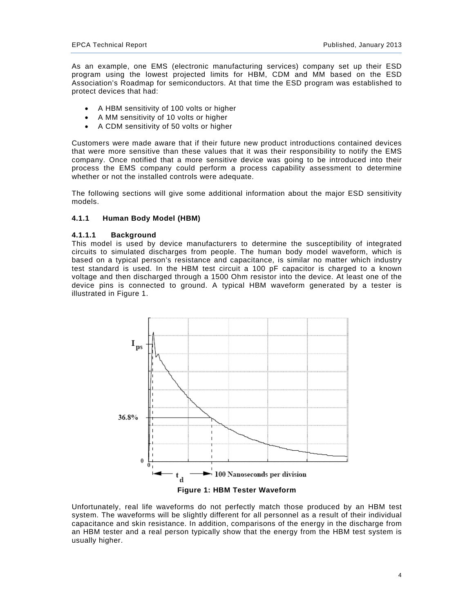As an example, one EMS (electronic manufacturing services) company set up their ESD program using the lowest projected limits for HBM, CDM and MM based on the ESD Association's Roadmap for semiconductors. At that time the ESD program was established to protect devices that had:

- A HBM sensitivity of 100 volts or higher
- A MM sensitivity of 10 volts or higher
- A CDM sensitivity of 50 volts or higher

Customers were made aware that if their future new product introductions contained devices that were more sensitive than these values that it was their responsibility to notify the EMS company. Once notified that a more sensitive device was going to be introduced into their process the EMS company could perform a process capability assessment to determine whether or not the installed controls were adequate.

The following sections will give some additional information about the major ESD sensitivity models.

#### **4.1.1 Human Body Model (HBM)**

#### **4.1.1.1 Background**

This model is used by device manufacturers to determine the susceptibility of integrated circuits to simulated discharges from people. The human body model waveform, which is based on a typical person's resistance and capacitance, is similar no matter which industry test standard is used. In the HBM test circuit a 100 pF capacitor is charged to a known voltage and then discharged through a 1500 Ohm resistor into the device. At least one of the device pins is connected to ground. A typical HBM waveform generated by a tester is illustrated in Figure 1.



Unfortunately, real life waveforms do not perfectly match those produced by an HBM test system. The waveforms will be slightly different for all personnel as a result of their individual capacitance and skin resistance. In addition, comparisons of the energy in the discharge from an HBM tester and a real person typically show that the energy from the HBM test system is usually higher.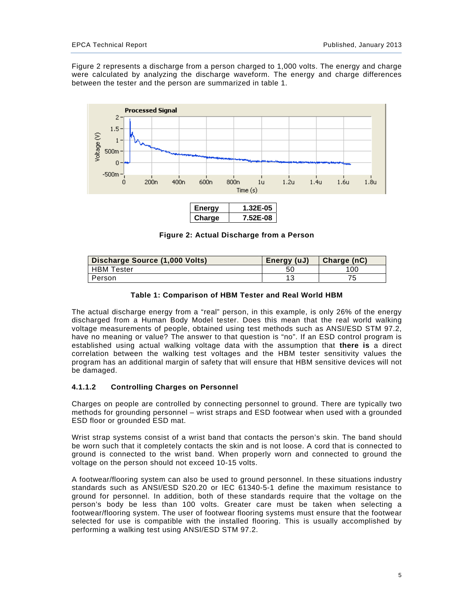Figure 2 represents a discharge from a person charged to 1,000 volts. The energy and charge were calculated by analyzing the discharge waveform. The energy and charge differences between the tester and the person are summarized in table 1.



| <b>Ener</b><br>v |   |
|------------------|---|
|                  | w |

**Figure 2: Actual Discharge from a Person** 

| Discharge Source (1,000 Volts) | Energy (uJ) | Charge (nC) |
|--------------------------------|-------------|-------------|
| <b>HBM</b> Tester              |             | 100         |
| Person                         | A -         |             |

#### **Table 1: Comparison of HBM Tester and Real World HBM**

The actual discharge energy from a "real" person, in this example, is only 26% of the energy discharged from a Human Body Model tester. Does this mean that the real world walking voltage measurements of people, obtained using test methods such as ANSI/ESD STM 97.2, have no meaning or value? The answer to that question is "no". If an ESD control program is established using actual walking voltage data with the assumption that **there is** a direct correlation between the walking test voltages and the HBM tester sensitivity values the program has an additional margin of safety that will ensure that HBM sensitive devices will not be damaged.

#### **4.1.1.2 Controlling Charges on Personnel**

Charges on people are controlled by connecting personnel to ground. There are typically two methods for grounding personnel – wrist straps and ESD footwear when used with a grounded ESD floor or grounded ESD mat.

Wrist strap systems consist of a wrist band that contacts the person's skin. The band should be worn such that it completely contacts the skin and is not loose. A cord that is connected to ground is connected to the wrist band. When properly worn and connected to ground the voltage on the person should not exceed 10-15 volts.

A footwear/flooring system can also be used to ground personnel. In these situations industry standards such as ANSI/ESD S20.20 or IEC 61340-5-1 define the maximum resistance to ground for personnel. In addition, both of these standards require that the voltage on the person's body be less than 100 volts. Greater care must be taken when selecting a footwear/flooring system. The user of footwear flooring systems must ensure that the footwear selected for use is compatible with the installed flooring. This is usually accomplished by performing a walking test using ANSI/ESD STM 97.2.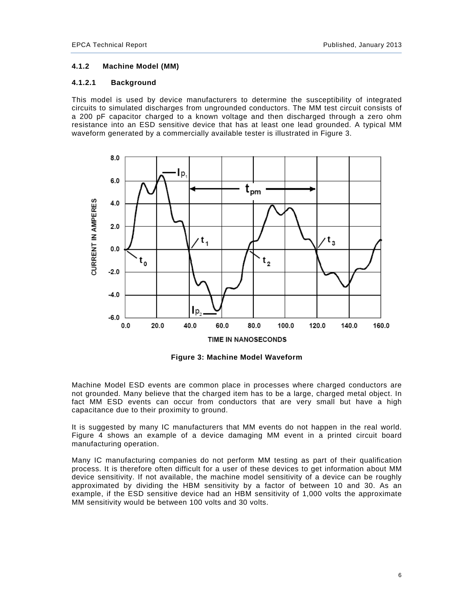## **4.1.2 Machine Model (MM)**

## **4.1.2.1 Background**

This model is used by device manufacturers to determine the susceptibility of integrated circuits to simulated discharges from ungrounded conductors. The MM test circuit consists of a 200 pF capacitor charged to a known voltage and then discharged through a zero ohm resistance into an ESD sensitive device that has at least one lead grounded. A typical MM waveform generated by a commercially available tester is illustrated in Figure 3.



**Figure 3: Machine Model Waveform** 

Machine Model ESD events are common place in processes where charged conductors are not grounded. Many believe that the charged item has to be a large, charged metal object. In fact MM ESD events can occur from conductors that are very small but have a high capacitance due to their proximity to ground.

It is suggested by many IC manufacturers that MM events do not happen in the real world. Figure 4 shows an example of a device damaging MM event in a printed circuit board manufacturing operation.

Many IC manufacturing companies do not perform MM testing as part of their qualification process. It is therefore often difficult for a user of these devices to get information about MM device sensitivity. If not available, the machine model sensitivity of a device can be roughly approximated by dividing the HBM sensitivity by a factor of between 10 and 30. As an example, if the ESD sensitive device had an HBM sensitivity of 1,000 volts the approximate MM sensitivity would be between 100 volts and 30 volts.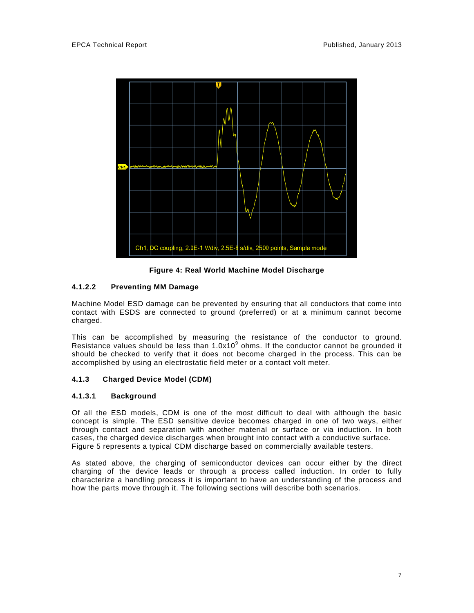

**Figure 4: Real World Machine Model Discharge** 

# **4.1.2.2 Preventing MM Damage**

Machine Model ESD damage can be prevented by ensuring that all conductors that come into contact with ESDS are connected to ground (preferred) or at a minimum cannot become charged.

This can be accomplished by measuring the resistance of the conductor to ground. Resistance values should be less than  $1.0x10<sup>9</sup>$  ohms. If the conductor cannot be grounded it should be checked to verify that it does not become charged in the process. This can be accomplished by using an electrostatic field meter or a contact volt meter.

# **4.1.3 Charged Device Model (CDM)**

# **4.1.3.1 Background**

Of all the ESD models, CDM is one of the most difficult to deal with although the basic concept is simple. The ESD sensitive device becomes charged in one of two ways, either through contact and separation with another material or surface or via induction. In both cases, the charged device discharges when brought into contact with a conductive surface. Figure 5 represents a typical CDM discharge based on commercially available testers.

As stated above, the charging of semiconductor devices can occur either by the direct charging of the device leads or through a process called induction. In order to fully characterize a handling process it is important to have an understanding of the process and how the parts move through it. The following sections will describe both scenarios.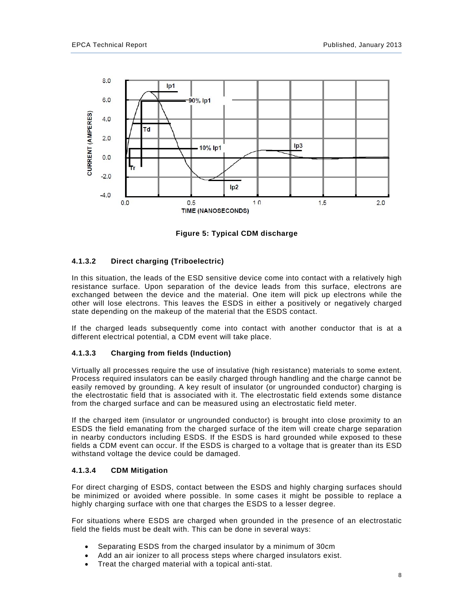

**Figure 5: Typical CDM discharge** 

# **4.1.3.2 Direct charging (Triboelectric)**

In this situation, the leads of the ESD sensitive device come into contact with a relatively high resistance surface. Upon separation of the device leads from this surface, electrons are exchanged between the device and the material. One item will pick up electrons while the other will lose electrons. This leaves the ESDS in either a positively or negatively charged state depending on the makeup of the material that the ESDS contact.

If the charged leads subsequently come into contact with another conductor that is at a different electrical potential, a CDM event will take place.

# **4.1.3.3 Charging from fields (Induction)**

Virtually all processes require the use of insulative (high resistance) materials to some extent. Process required insulators can be easily charged through handling and the charge cannot be easily removed by grounding. A key result of insulator (or ungrounded conductor) charging is the electrostatic field that is associated with it. The electrostatic field extends some distance from the charged surface and can be measured using an electrostatic field meter.

If the charged item (insulator or ungrounded conductor) is brought into close proximity to an ESDS the field emanating from the charged surface of the item will create charge separation in nearby conductors including ESDS. If the ESDS is hard grounded while exposed to these fields a CDM event can occur. If the ESDS is charged to a voltage that is greater than its ESD withstand voltage the device could be damaged.

## **4.1.3.4 CDM Mitigation**

For direct charging of ESDS, contact between the ESDS and highly charging surfaces should be minimized or avoided where possible. In some cases it might be possible to replace a highly charging surface with one that charges the ESDS to a lesser degree.

For situations where ESDS are charged when grounded in the presence of an electrostatic field the fields must be dealt with. This can be done in several ways:

- Separating ESDS from the charged insulator by a minimum of 30cm
- Add an air ionizer to all process steps where charged insulators exist.
- Treat the charged material with a topical anti-stat.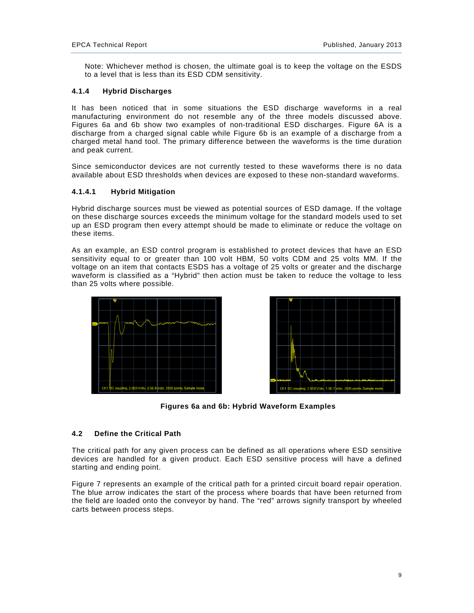Note: Whichever method is chosen, the ultimate goal is to keep the voltage on the ESDS to a level that is less than its ESD CDM sensitivity.

# **4.1.4 Hybrid Discharges**

It has been noticed that in some situations the ESD discharge waveforms in a real manufacturing environment do not resemble any of the three models discussed above. Figures 6a and 6b show two examples of non-traditional ESD discharges. Figure 6A is a discharge from a charged signal cable while Figure 6b is an example of a discharge from a charged metal hand tool. The primary difference between the waveforms is the time duration and peak current.

Since semiconductor devices are not currently tested to these waveforms there is no data available about ESD thresholds when devices are exposed to these non-standard waveforms.

# **4.1.4.1 Hybrid Mitigation**

Hybrid discharge sources must be viewed as potential sources of ESD damage. If the voltage on these discharge sources exceeds the minimum voltage for the standard models used to set up an ESD program then every attempt should be made to eliminate or reduce the voltage on these items.

As an example, an ESD control program is established to protect devices that have an ESD sensitivity equal to or greater than 100 volt HBM, 50 volts CDM and 25 volts MM. If the voltage on an item that contacts ESDS has a voltage of 25 volts or greater and the discharge waveform is classified as a "Hybrid" then action must be taken to reduce the voltage to less than 25 volts where possible.





**Figures 6a and 6b: Hybrid Waveform Examples** 

# **4.2 Define the Critical Path**

The critical path for any given process can be defined as all operations where ESD sensitive devices are handled for a given product. Each ESD sensitive process will have a defined starting and ending point.

Figure 7 represents an example of the critical path for a printed circuit board repair operation. The blue arrow indicates the start of the process where boards that have been returned from the field are loaded onto the conveyor by hand. The "red" arrows signify transport by wheeled carts between process steps.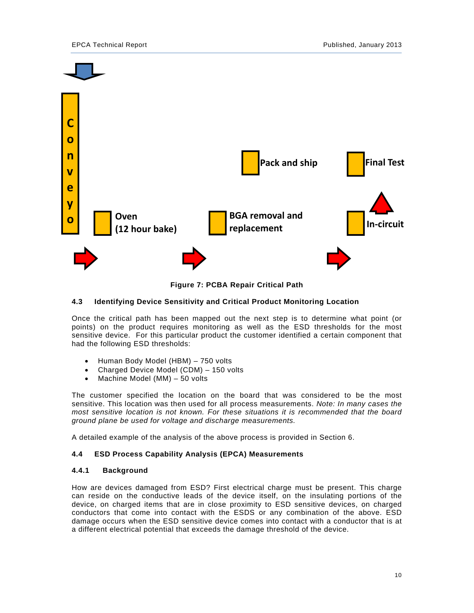

**Figure 7: PCBA Repair Critical Path** 

# **4.3 Identifying Device Sensitivity and Critical Product Monitoring Location**

Once the critical path has been mapped out the next step is to determine what point (or points) on the product requires monitoring as well as the ESD thresholds for the most sensitive device. For this particular product the customer identified a certain component that had the following ESD thresholds:

- Human Body Model (HBM) 750 volts
- Charged Device Model (CDM) 150 volts
- $\bullet$  Machine Model (MM) 50 volts

The customer specified the location on the board that was considered to be the most sensitive. This location was then used for all process measurements. *Note: In many cases the most sensitive location is not known. For these situations it is recommended that the board ground plane be used for voltage and discharge measurements.* 

A detailed example of the analysis of the above process is provided in Section 6.

## **4.4 ESD Process Capability Analysis (EPCA) Measurements**

#### **4.4.1 Background**

How are devices damaged from ESD? First electrical charge must be present. This charge can reside on the conductive leads of the device itself, on the insulating portions of the device, on charged items that are in close proximity to ESD sensitive devices, on charged conductors that come into contact with the ESDS or any combination of the above. ESD damage occurs when the ESD sensitive device comes into contact with a conductor that is at a different electrical potential that exceeds the damage threshold of the device.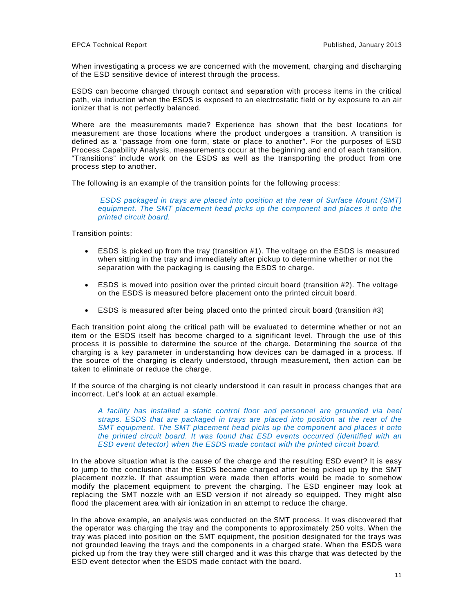When investigating a process we are concerned with the movement, charging and discharging of the ESD sensitive device of interest through the process.

ESDS can become charged through contact and separation with process items in the critical path, via induction when the ESDS is exposed to an electrostatic field or by exposure to an air ionizer that is not perfectly balanced.

Where are the measurements made? Experience has shown that the best locations for measurement are those locations where the product undergoes a transition. A transition is defined as a "passage from one form, state or place to another". For the purposes of ESD Process Capability Analysis, measurements occur at the beginning and end of each transition. "Transitions" include work on the ESDS as well as the transporting the product from one process step to another.

The following is an example of the transition points for the following process:

 *ESDS packaged in trays are placed into position at the rear of Surface Mount (SMT) equipment. The SMT placement head picks up the component and places it onto the printed circuit board.*

Transition points:

- ESDS is picked up from the tray (transition #1). The voltage on the ESDS is measured when sitting in the tray and immediately after pickup to determine whether or not the separation with the packaging is causing the ESDS to charge.
- ESDS is moved into position over the printed circuit board (transition #2). The voltage on the ESDS is measured before placement onto the printed circuit board.
- ESDS is measured after being placed onto the printed circuit board (transition #3)

Each transition point along the critical path will be evaluated to determine whether or not an item or the ESDS itself has become charged to a significant level. Through the use of this process it is possible to determine the source of the charge. Determining the source of the charging is a key parameter in understanding how devices can be damaged in a process. If the source of the charging is clearly understood, through measurement, then action can be taken to eliminate or reduce the charge.

If the source of the charging is not clearly understood it can result in process changes that are incorrect. Let's look at an actual example.

*A facility has installed a static control floor and personnel are grounded via heel straps. ESDS that are packaged in trays are placed into position at the rear of the SMT equipment. The SMT placement head picks up the component and places it onto the printed circuit board. It was found that ESD events occurred (identified with an ESD event detector) when the ESDS made contact with the printed circuit board.* 

In the above situation what is the cause of the charge and the resulting ESD event? It is easy to jump to the conclusion that the ESDS became charged after being picked up by the SMT placement nozzle. If that assumption were made then efforts would be made to somehow modify the placement equipment to prevent the charging. The ESD engineer may look at replacing the SMT nozzle with an ESD version if not already so equipped. They might also flood the placement area with air ionization in an attempt to reduce the charge.

In the above example, an analysis was conducted on the SMT process. It was discovered that the operator was charging the tray and the components to approximately 250 volts. When the tray was placed into position on the SMT equipment, the position designated for the trays was not grounded leaving the trays and the components in a charged state. When the ESDS were picked up from the tray they were still charged and it was this charge that was detected by the ESD event detector when the ESDS made contact with the board.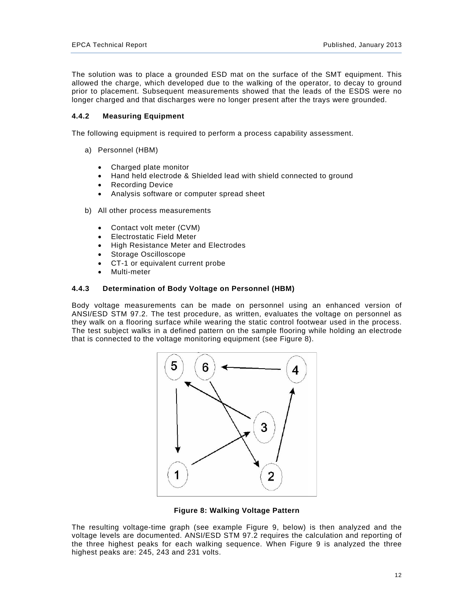The solution was to place a grounded ESD mat on the surface of the SMT equipment. This allowed the charge, which developed due to the walking of the operator, to decay to ground prior to placement. Subsequent measurements showed that the leads of the ESDS were no longer charged and that discharges were no longer present after the trays were grounded.

## **4.4.2 Measuring Equipment**

The following equipment is required to perform a process capability assessment.

- a) Personnel (HBM)
	- Charged plate monitor
	- Hand held electrode & Shielded lead with shield connected to ground
	- Recording Device
	- Analysis software or computer spread sheet
- b) All other process measurements
	- Contact volt meter (CVM)
	- Electrostatic Field Meter
	- High Resistance Meter and Electrodes
	- Storage Oscilloscope
	- CT-1 or equivalent current probe
	- Multi-meter

#### **4.4.3 Determination of Body Voltage on Personnel (HBM)**

Body voltage measurements can be made on personnel using an enhanced version of ANSI/ESD STM 97.2. The test procedure, as written, evaluates the voltage on personnel as they walk on a flooring surface while wearing the static control footwear used in the process. The test subject walks in a defined pattern on the sample flooring while holding an electrode that is connected to the voltage monitoring equipment (see Figure 8).



**Figure 8: Walking Voltage Pattern** 

The resulting voltage-time graph (see example Figure 9, below) is then analyzed and the voltage levels are documented. ANSI/ESD STM 97.2 requires the calculation and reporting of the three highest peaks for each walking sequence. When Figure 9 is analyzed the three highest peaks are: 245, 243 and 231 volts.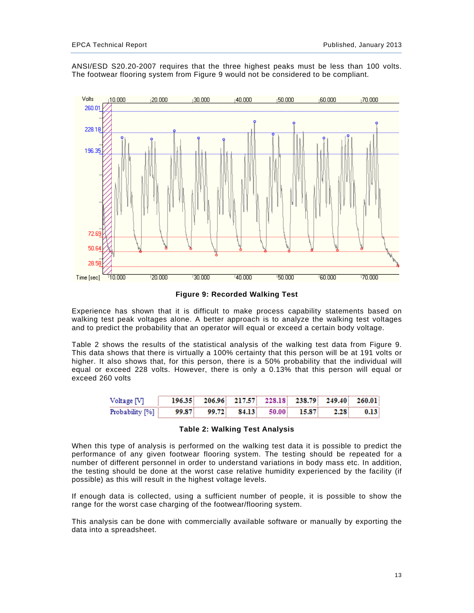ANSI/ESD S20.20-2007 requires that the three highest peaks must be less than 100 volts. The footwear flooring system from Figure 9 would not be considered to be compliant.



**Figure 9: Recorded Walking Test** 

Experience has shown that it is difficult to make process capability statements based on walking test peak voltages alone. A better approach is to analyze the walking test voltages and to predict the probability that an operator will equal or exceed a certain body voltage.

Table 2 shows the results of the statistical analysis of the walking test data from Figure 9. This data shows that there is virtually a 100% certainty that this person will be at 191 volts or higher. It also shows that, for this person, there is a 50% probability that the individual will equal or exceed 228 volts. However, there is only a 0.13% that this person will equal or exceed 260 volts

| Voltage IV      | 196.35 |       |        |        |       | 206.96 217.57 228.18 238.79 249.40 | - 260.01 |
|-----------------|--------|-------|--------|--------|-------|------------------------------------|----------|
| Probability 1%1 | 99.87  | 99.72 | 84.13. | 50.001 | 15.87 |                                    |          |

#### **Table 2: Walking Test Analysis**

When this type of analysis is performed on the walking test data it is possible to predict the performance of any given footwear flooring system. The testing should be repeated for a number of different personnel in order to understand variations in body mass etc. In addition, the testing should be done at the worst case relative humidity experienced by the facility (if possible) as this will result in the highest voltage levels.

If enough data is collected, using a sufficient number of people, it is possible to show the range for the worst case charging of the footwear/flooring system.

This analysis can be done with commercially available software or manually by exporting the data into a spreadsheet.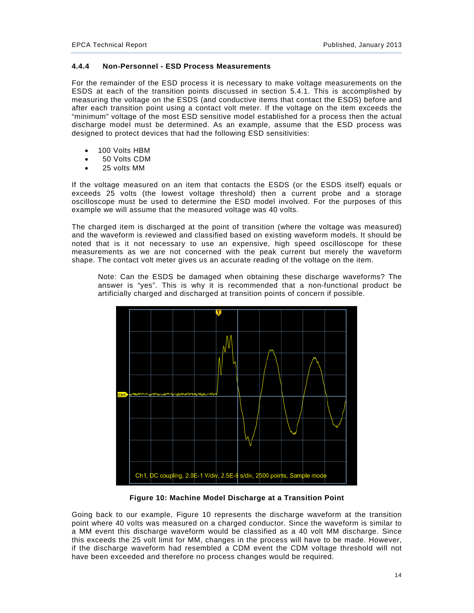#### **4.4.4 Non-Personnel - ESD Process Measurements**

For the remainder of the ESD process it is necessary to make voltage measurements on the ESDS at each of the transition points discussed in section 5.4.1. This is accomplished by measuring the voltage on the ESDS (and conductive items that contact the ESDS) before and after each transition point using a contact volt meter. If the voltage on the item exceeds the "minimum" voltage of the most ESD sensitive model established for a process then the actual discharge model must be determined. As an example, assume that the ESD process was designed to protect devices that had the following ESD sensitivities:

- 100 Volts HBM
- 50 Volts CDM
- 25 volts MM

If the voltage measured on an item that contacts the ESDS (or the ESDS itself) equals or exceeds 25 volts (the lowest voltage threshold) then a current probe and a storage oscilloscope must be used to determine the ESD model involved. For the purposes of this example we will assume that the measured voltage was 40 volts.

The charged item is discharged at the point of transition (where the voltage was measured) and the waveform is reviewed and classified based on existing waveform models. It should be noted that is it not necessary to use an expensive, high speed oscilloscope for these measurements as we are not concerned with the peak current but merely the waveform shape. The contact volt meter gives us an accurate reading of the voltage on the item.

Note: Can the ESDS be damaged when obtaining these discharge waveforms? The answer is "yes". This is why it is recommended that a non-functional product be artificially charged and discharged at transition points of concern if possible.



**Figure 10: Machine Model Discharge at a Transition Point** 

Going back to our example, Figure 10 represents the discharge waveform at the transition point where 40 volts was measured on a charged conductor. Since the waveform is similar to a MM event this discharge waveform would be classified as a 40 volt MM discharge. Since this exceeds the 25 volt limit for MM, changes in the process will have to be made. However, if the discharge waveform had resembled a CDM event the CDM voltage threshold will not have been exceeded and therefore no process changes would be required.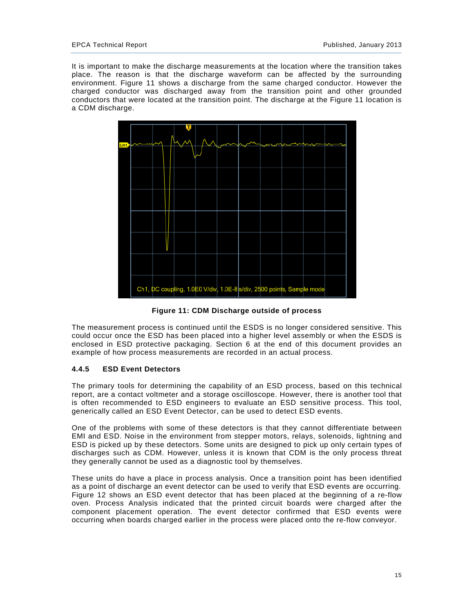It is important to make the discharge measurements at the location where the transition takes place. The reason is that the discharge waveform can be affected by the surrounding environment. Figure 11 shows a discharge from the same charged conductor. However the charged conductor was discharged away from the transition point and other grounded conductors that were located at the transition point. The discharge at the Figure 11 location is a CDM discharge.



**Figure 11: CDM Discharge outside of process** 

The measurement process is continued until the ESDS is no longer considered sensitive. This could occur once the ESD has been placed into a higher level assembly or when the ESDS is enclosed in ESD protective packaging. Section 6 at the end of this document provides an example of how process measurements are recorded in an actual process.

## **4.4.5 ESD Event Detectors**

The primary tools for determining the capability of an ESD process, based on this technical report, are a contact voltmeter and a storage oscilloscope. However, there is another tool that is often recommended to ESD engineers to evaluate an ESD sensitive process. This tool, generically called an ESD Event Detector, can be used to detect ESD events.

One of the problems with some of these detectors is that they cannot differentiate between EMI and ESD. Noise in the environment from stepper motors, relays, solenoids, lightning and ESD is picked up by these detectors. Some units are designed to pick up only certain types of discharges such as CDM. However, unless it is known that CDM is the only process threat they generally cannot be used as a diagnostic tool by themselves.

These units do have a place in process analysis. Once a transition point has been identified as a point of discharge an event detector can be used to verify that ESD events are occurring. Figure 12 shows an ESD event detector that has been placed at the beginning of a re-flow oven. Process Analysis indicated that the printed circuit boards were charged after the component placement operation. The event detector confirmed that ESD events were occurring when boards charged earlier in the process were placed onto the re-flow conveyor.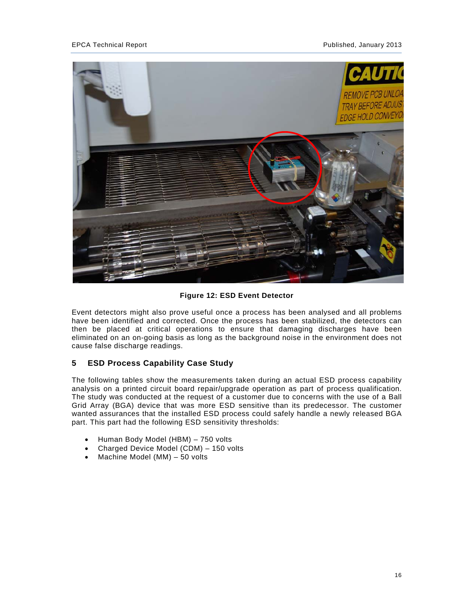

## **Figure 12: ESD Event Detector**

Event detectors might also prove useful once a process has been analysed and all problems have been identified and corrected. Once the process has been stabilized, the detectors can then be placed at critical operations to ensure that damaging discharges have been eliminated on an on-going basis as long as the background noise in the environment does not cause false discharge readings.

# **5 ESD Process Capability Case Study**

The following tables show the measurements taken during an actual ESD process capability analysis on a printed circuit board repair/upgrade operation as part of process qualification. The study was conducted at the request of a customer due to concerns with the use of a Ball Grid Array (BGA) device that was more ESD sensitive than its predecessor. The customer wanted assurances that the installed ESD process could safely handle a newly released BGA part. This part had the following ESD sensitivity thresholds:

- Human Body Model (HBM) 750 volts
- Charged Device Model (CDM) 150 volts
- $\bullet$  Machine Model (MM) 50 volts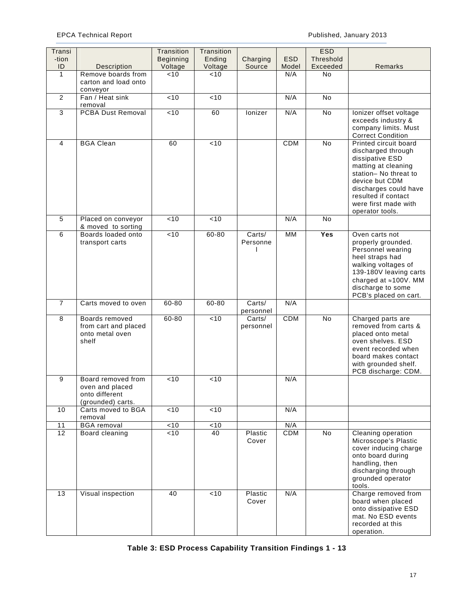# EPCA Technical Report **Published, January 2013**

| Transi<br>-tion |                                                                              | Transition<br>Beginning | Transition<br>Ending | Charging            | <b>ESD</b> | <b>ESD</b><br>Threshold |                                                                                                                                                                                                                             |
|-----------------|------------------------------------------------------------------------------|-------------------------|----------------------|---------------------|------------|-------------------------|-----------------------------------------------------------------------------------------------------------------------------------------------------------------------------------------------------------------------------|
| ID              | <b>Description</b>                                                           | Voltage                 | Voltage              | Source              | Model      | Exceeded                | Remarks                                                                                                                                                                                                                     |
| $\mathbf{1}$    | Remove boards from<br>carton and load onto<br>conveyor                       | < 10                    | < 10                 |                     | N/A        | <b>No</b>               |                                                                                                                                                                                                                             |
| 2               | Fan / Heat sink<br>removal                                                   | < 10                    | < 10                 |                     | N/A        | <b>No</b>               |                                                                                                                                                                                                                             |
| 3               | <b>PCBA Dust Removal</b>                                                     | $\overline{5}$          | 60                   | lonizer             | N/A        | No                      | lonizer offset voltage<br>exceeds industry &<br>company limits. Must<br><b>Correct Condition</b>                                                                                                                            |
| 4               | <b>BGA Clean</b>                                                             | 60                      | < 10                 |                     | <b>CDM</b> | <b>No</b>               | Printed circuit board<br>discharged through<br>dissipative ESD<br>matting at cleaning<br>station- No threat to<br>device but CDM<br>discharges could have<br>resulted if contact<br>were first made with<br>operator tools. |
| 5               | Placed on conveyor<br>& moved to sorting                                     | < 10                    | < 10                 |                     | N/A        | <b>No</b>               |                                                                                                                                                                                                                             |
| 6               | Boards loaded onto<br>transport carts                                        | < 10                    | 60-80                | Carts/<br>Personne  | <b>MM</b>  | Yes                     | Oven carts not<br>properly grounded.<br>Personnel wearing<br>heel straps had<br>walking voltages of<br>139-180V leaving carts<br>charged at ≈100V. MM<br>discharge to some<br>PCB's placed on cart.                         |
| $\overline{7}$  | Carts moved to oven                                                          | $60 - 80$               | 60-80                | Carts/<br>personnel | N/A        |                         |                                                                                                                                                                                                                             |
| 8               | Boards removed<br>from cart and placed<br>onto metal oven<br>shelf           | 60-80                   | < 10                 | Carts/<br>personnel | <b>CDM</b> | No                      | Charged parts are<br>removed from carts &<br>placed onto metal<br>oven shelves. ESD<br>event recorded when<br>board makes contact<br>with grounded shelf.<br>PCB discharge: CDM.                                            |
| 9               | Board removed from<br>oven and placed<br>onto different<br>(grounded) carts. | < 10                    | 10                   |                     | N/A        |                         |                                                                                                                                                                                                                             |
| 10              | Carts moved to BGA<br>removal                                                | < 10                    | < 10                 |                     | N/A        |                         |                                                                                                                                                                                                                             |
| 11              | <b>BGA</b> removal                                                           | < 10                    | ~10                  |                     | N/A        |                         |                                                                                                                                                                                                                             |
| $\overline{12}$ | Board cleaning                                                               | < 10                    | 40                   | Plastic<br>Cover    | <b>CDM</b> | <b>No</b>               | Cleaning operation<br>Microscope's Plastic<br>cover inducing charge<br>onto board during<br>handling, then<br>discharging through<br>grounded operator<br>tools.                                                            |
| 13              | Visual inspection                                                            | 40                      | < 10                 | Plastic<br>Cover    | N/A        |                         | Charge removed from<br>board when placed<br>onto dissipative ESD<br>mat. No ESD events<br>recorded at this<br>operation.                                                                                                    |

**Table 3: ESD Process Capability Transition Findings 1 - 13**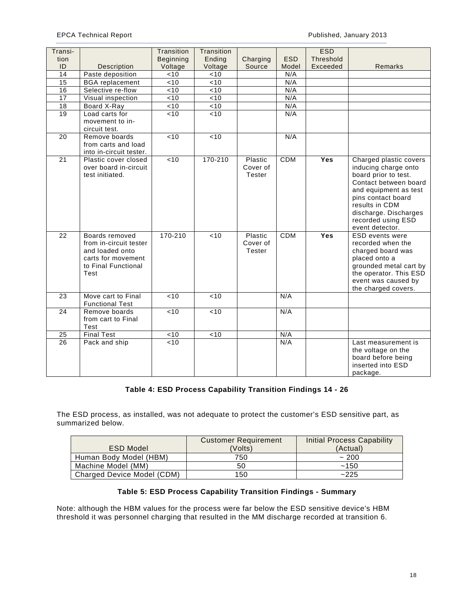EPCA Technical Report Published, January 2013

| Transi-         |                                                                                                                  | Transition       | Transition     |                               |            | <b>ESD</b> |                                                                                                                                                                                                                                    |
|-----------------|------------------------------------------------------------------------------------------------------------------|------------------|----------------|-------------------------------|------------|------------|------------------------------------------------------------------------------------------------------------------------------------------------------------------------------------------------------------------------------------|
| tion            |                                                                                                                  | <b>Beginning</b> | Ending         | Charging                      | <b>ESD</b> | Threshold  |                                                                                                                                                                                                                                    |
| ID              | Description                                                                                                      | Voltage          | Voltage        | Source                        | Model      | Exceeded   | Remarks                                                                                                                                                                                                                            |
| $\overline{14}$ | Paste deposition                                                                                                 | < 10             | < 10           |                               | N/A        |            |                                                                                                                                                                                                                                    |
| 15              | <b>BGA</b> replacement                                                                                           | < 10             | < 10           |                               | N/A        |            |                                                                                                                                                                                                                                    |
| 16              | Selective re-flow                                                                                                | < 10             | <10            |                               | N/A        |            |                                                                                                                                                                                                                                    |
| $\overline{17}$ | Visual inspection                                                                                                | < 10             | <10            |                               | N/A        |            |                                                                                                                                                                                                                                    |
| 18              | Board X-Ray                                                                                                      | < 10             | $\overline{5}$ |                               | N/A        |            |                                                                                                                                                                                                                                    |
| 19              | Load carts for<br>movement to in-<br>circuit test.                                                               | <10              | <10            |                               | N/A        |            |                                                                                                                                                                                                                                    |
| 20              | Remove boards<br>from carts and load<br>into in-circuit tester.                                                  | < 10             | <10            |                               | N/A        |            |                                                                                                                                                                                                                                    |
| $\overline{21}$ | Plastic cover closed<br>over board in-circuit<br>test initiated.                                                 | < 10             | 170-210        | Plastic<br>Cover of<br>Tester | <b>CDM</b> | <b>Yes</b> | Charged plastic covers<br>inducing charge onto<br>board prior to test.<br>Contact between board<br>and equipment as test<br>pins contact board<br>results in CDM<br>discharge. Discharges<br>recorded using ESD<br>event detector. |
| $\overline{22}$ | Boards removed<br>from in-circuit tester<br>and loaded onto<br>carts for movement<br>to Final Functional<br>Test | 170-210          | < 10           | Plastic<br>Cover of<br>Tester | <b>CDM</b> | Yes        | ESD events were<br>recorded when the<br>charged board was<br>placed onto a<br>grounded metal cart by<br>the operator. This ESD<br>event was caused by<br>the charged covers.                                                       |
| 23              | Move cart to Final<br><b>Functional Test</b>                                                                     | < 10             | < 10           |                               | N/A        |            |                                                                                                                                                                                                                                    |
| 24              | Remove boards<br>from cart to Final<br>Test                                                                      | < 10             | < 10           |                               | N/A        |            |                                                                                                                                                                                                                                    |
| 25              | <b>Final Test</b>                                                                                                | < 10             | $\overline{5}$ |                               | N/A        |            |                                                                                                                                                                                                                                    |
| 26              | Pack and ship                                                                                                    | $\overline{5}$   |                |                               | N/A        |            | Last measurement is<br>the voltage on the<br>board before being<br>inserted into ESD<br>package.                                                                                                                                   |

# **Table 4: ESD Process Capability Transition Findings 14 - 26**

The ESD process, as installed, was not adequate to protect the customer's ESD sensitive part, as summarized below.

|                            | <b>Customer Requirement</b> | Initial Process Capability |
|----------------------------|-----------------------------|----------------------------|
| <b>ESD Model</b>           | (Volts)                     | (Actual)                   |
| Human Body Model (HBM)     | 750                         | ~1200                      |
| Machine Model (MM)         | 50                          | ~150                       |
| Charged Device Model (CDM) | 150                         | ~225                       |

# **Table 5: ESD Process Capability Transition Findings - Summary**

Note: although the HBM values for the process were far below the ESD sensitive device's HBM threshold it was personnel charging that resulted in the MM discharge recorded at transition 6.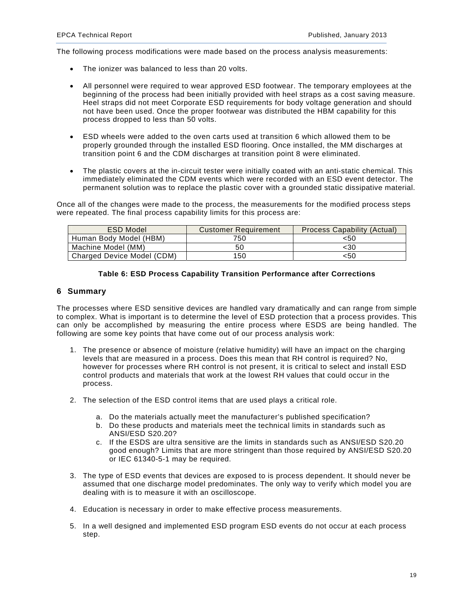The following process modifications were made based on the process analysis measurements:

- The ionizer was balanced to less than 20 volts.
- All personnel were required to wear approved ESD footwear. The temporary employees at the beginning of the process had been initially provided with heel straps as a cost saving measure. Heel straps did not meet Corporate ESD requirements for body voltage generation and should not have been used. Once the proper footwear was distributed the HBM capability for this process dropped to less than 50 volts.
- ESD wheels were added to the oven carts used at transition 6 which allowed them to be properly grounded through the installed ESD flooring. Once installed, the MM discharges at transition point 6 and the CDM discharges at transition point 8 were eliminated.
- The plastic covers at the in-circuit tester were initially coated with an anti-static chemical. This immediately eliminated the CDM events which were recorded with an ESD event detector. The permanent solution was to replace the plastic cover with a grounded static dissipative material.

Once all of the changes were made to the process, the measurements for the modified process steps were repeated. The final process capability limits for this process are:

| <b>ESD Model</b>           | <b>Customer Requirement</b> | <b>Process Capability (Actual)</b> |
|----------------------------|-----------------------------|------------------------------------|
| Human Body Model (HBM)     | 750                         | <50                                |
| Machine Model (MM)         | 50                          | <30                                |
| Charged Device Model (CDM) | 150                         | <50                                |

## **Table 6: ESD Process Capability Transition Performance after Corrections**

## **6 Summary**

The processes where ESD sensitive devices are handled vary dramatically and can range from simple to complex. What is important is to determine the level of ESD protection that a process provides. This can only be accomplished by measuring the entire process where ESDS are being handled. The following are some key points that have come out of our process analysis work:

- 1. The presence or absence of moisture (relative humidity) will have an impact on the charging levels that are measured in a process. Does this mean that RH control is required? No, however for processes where RH control is not present, it is critical to select and install ESD control products and materials that work at the lowest RH values that could occur in the process.
- 2. The selection of the ESD control items that are used plays a critical role.
	- a. Do the materials actually meet the manufacturer's published specification?
	- b. Do these products and materials meet the technical limits in standards such as ANSI/ESD S20.20?
	- c. If the ESDS are ultra sensitive are the limits in standards such as ANSI/ESD S20.20 good enough? Limits that are more stringent than those required by ANSI/ESD S20.20 or IEC 61340-5-1 may be required.
- 3. The type of ESD events that devices are exposed to is process dependent. It should never be assumed that one discharge model predominates. The only way to verify which model you are dealing with is to measure it with an oscilloscope.
- 4. Education is necessary in order to make effective process measurements.
- 5. In a well designed and implemented ESD program ESD events do not occur at each process step.